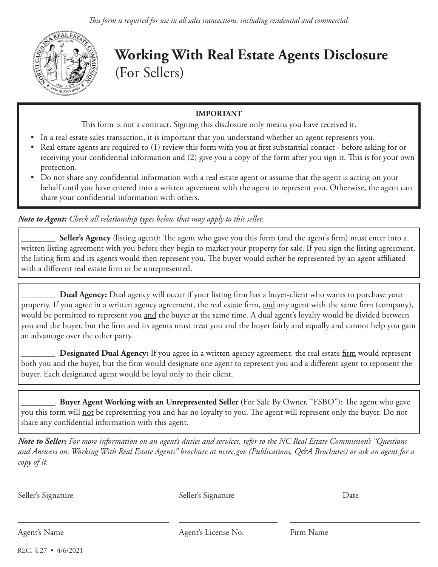

**Working With Real Estate Agents Disclosure** (For Sellers)

## **IMPORTANT**

This form is **not** a contract. Signing this disclosure only means you have received it.

- In a real estate sales transaction, it is important that you understand whether an agent represents you.
- Real estate agents are required to (1) review this form with you at first substantial contact before asking for or receiving your confidential information and (2) give you a copy of the form after you sign it. This is for your own protection.
- Do not share any confidential information with a real estate agent or assume that the agent is acting on your behalf until you have entered into a written agreement with the agent to represent you. Otherwise, the agent can share your confidential information with others.

*Note to Agent: Check all relationship types below that may apply to this seller.*

**Seller's Agency** (listing agent): The agent who gave you this form (and the agent's firm) must enter into a written listing agreement with you before they begin to market your property for sale. If you sign the listing agreement, the listing firm and its agents would then represent you. The buyer would either be represented by an agent affiliated with a different real estate firm or be unrepresented.

\_\_\_\_\_\_\_\_ **Dual Agency:** Dual agency will occur if your listing firm has a buyer-client who wants to purchase your property. If you agree in a written agency agreement, the real estate firm, and any agent with the same firm (company), would be permitted to represent you and the buyer at the same time. A dual agent's loyalty would be divided between you and the buyer, but the firm and its agents must treat you and the buyer fairly and equally and cannot help you gain an advantage over the other party.

**Designated Dual Agency:** If you agree in a written agency agreement, the real estate firm would represent both you and the buyer, but the firm would designate one agent to represent you and a different agent to represent the buyer. Each designated agent would be loyal only to their client.

\_\_\_\_\_\_\_\_ **Buyer Agent Working with an Unrepresented Seller** (For Sale By Owner, "FSBO"): The agent who gave you this form will <u>not</u> be representing you and has no loyalty to you. The agent will represent only the buyer. Do not share any confidential information with this agent.

*Note to Seller: For more information on an agent's duties and services, refer to the NC Real Estate Commission's "Questions and Answers on: Working With Real Estate Agents" brochure at ncrec.gov (Publications, Q&A Brochures) or ask an agent for a copy of it.*

Seller's Signature

Seller's Signature

Date

Agent's Name

Agent's License No.

Firm Name

REC. 4.27 • 4/6/2021